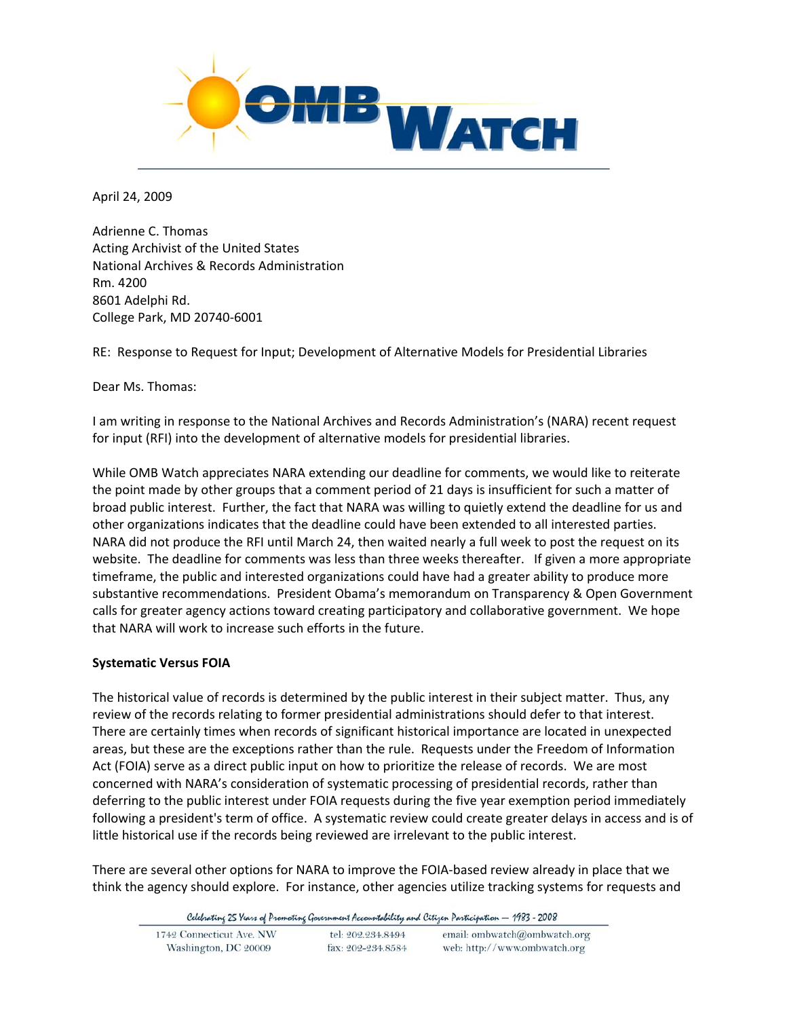

April 24, 2009

Adrienne C. Thomas Acting Archivist of the United States National Archives & Records Administration Rm. 4200 8601 Adelphi Rd. College Park, MD 20740‐6001

RE: Response to Request for Input; Development of Alternative Models for Presidential Libraries

Dear Ms. Thomas:

I am writing in response to the National Archives and Records Administration's (NARA) recent request for input (RFI) into the development of alternative models for presidential libraries.

While OMB Watch appreciates NARA extending our deadline for comments, we would like to reiterate the point made by other groups that a comment period of 21 days is insufficient for such a matter of broad public interest. Further, the fact that NARA was willing to quietly extend the deadline for us and other organizations indicates that the deadline could have been extended to all interested parties. NARA did not produce the RFI until March 24, then waited nearly a full week to post the request on its website. The deadline for comments was less than three weeks thereafter. If given a more appropriate timeframe, the public and interested organizations could have had a greater ability to produce more substantive recommendations. President Obama's memorandum on Transparency & Open Government calls for greater agency actions toward creating participatory and collaborative government. We hope that NARA will work to increase such efforts in the future.

## **Systematic Versus FOIA**

The historical value of records is determined by the public interest in their subject matter. Thus, any review of the records relating to former presidential administrations should defer to that interest. There are certainly times when records of significant historical importance are located in unexpected areas, but these are the exceptions rather than the rule. Requests under the Freedom of Information Act (FOIA) serve as a direct public input on how to prioritize the release of records. We are most concerned with NARA's consideration of systematic processing of presidential records, rather than deferring to the public interest under FOIA requests during the five year exemption period immediately following a president's term of office. A systematic review could create greater delays in access and is of little historical use if the records being reviewed are irrelevant to the public interest.

There are several other options for NARA to improve the FOIA‐based review already in place that we think the agency should explore. For instance, other agencies utilize tracking systems for requests and

Celebrating 25 Years of Promoting Government Accountability and Citizen Participation - 1983 - 2008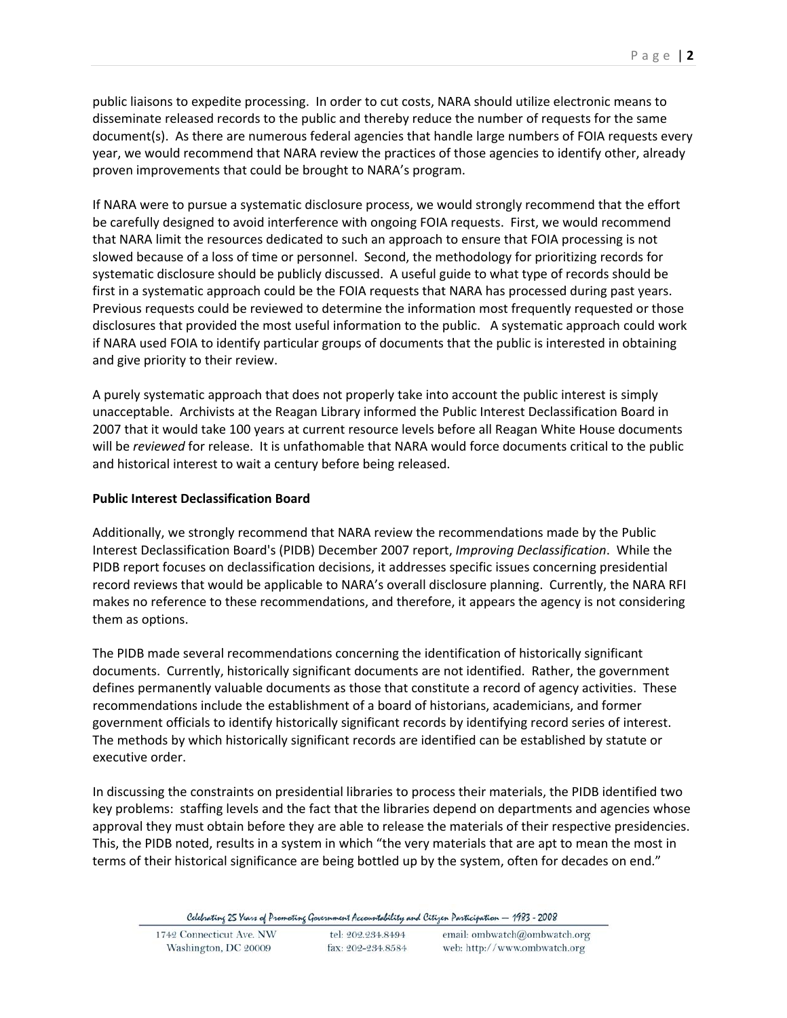public liaisons to expedite processing. In order to cut costs, NARA should utilize electronic means to disseminate released records to the public and thereby reduce the number of requests for the same document(s). As there are numerous federal agencies that handle large numbers of FOIA requests every year, we would recommend that NARA review the practices of those agencies to identify other, already proven improvements that could be brought to NARA's program.

If NARA were to pursue a systematic disclosure process, we would strongly recommend that the effort be carefully designed to avoid interference with ongoing FOIA requests. First, we would recommend that NARA limit the resources dedicated to such an approach to ensure that FOIA processing is not slowed because of a loss of time or personnel. Second, the methodology for prioritizing records for systematic disclosure should be publicly discussed. A useful guide to what type of records should be first in a systematic approach could be the FOIA requests that NARA has processed during past years. Previous requests could be reviewed to determine the information most frequently requested or those disclosures that provided the most useful information to the public. A systematic approach could work if NARA used FOIA to identify particular groups of documents that the public is interested in obtaining and give priority to their review.

A purely systematic approach that does not properly take into account the public interest is simply unacceptable. Archivists at the Reagan Library informed the Public Interest Declassification Board in 2007 that it would take 100 years at current resource levels before all Reagan White House documents will be *reviewed* for release. It is unfathomable that NARA would force documents critical to the public and historical interest to wait a century before being released.

## **Public Interest Declassification Board**

Additionally, we strongly recommend that NARA review the recommendations made by the Public Interest Declassification Board's (PIDB) December 2007 report, *Improving Declassification*. While the PIDB report focuses on declassification decisions, it addresses specific issues concerning presidential record reviews that would be applicable to NARA's overall disclosure planning. Currently, the NARA RFI makes no reference to these recommendations, and therefore, it appears the agency is not considering them as options.

The PIDB made several recommendations concerning the identification of historically significant documents. Currently, historically significant documents are not identified. Rather, the government defines permanently valuable documents as those that constitute a record of agency activities. These recommendations include the establishment of a board of historians, academicians, and former government officials to identify historically significant records by identifying record series of interest. The methods by which historically significant records are identified can be established by statute or executive order.

In discussing the constraints on presidential libraries to process their materials, the PIDB identified two key problems: staffing levels and the fact that the libraries depend on departments and agencies whose approval they must obtain before they are able to release the materials of their respective presidencies. This, the PIDB noted, results in a system in which "the very materials that are apt to mean the most in terms of their historical significance are being bottled up by the system, often for decades on end."

Celebrating 25 Years of Promoting Government Accountability and Citizen Participation - 1983 - 2008